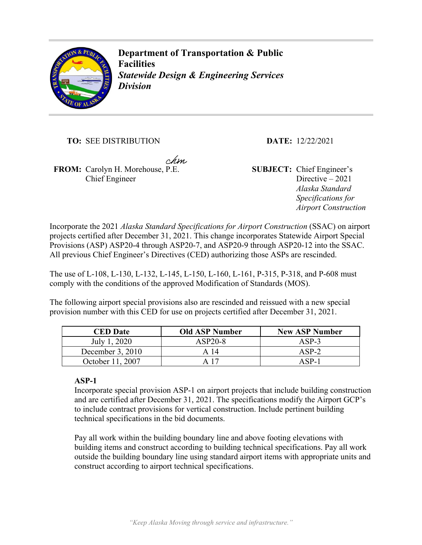

**Department of Transportation & Public Facilities**  *Statewide Design & Engineering Services Division* 

**TO:** SEE DISTRIBUTION **DATE:** 12/22/2021

chm

**FROM:** Carolyn H. Morehouse, P.E. **SUBJECT:** Chief Engineer's Chief Engineer

Directive – 2021 *Alaska Standard Specifications for Airport Construction*

Incorporate the 2021 *Alaska Standard Specifications for Airport Construction* (SSAC) on airport projects certified after December 31, 2021. This change incorporates Statewide Airport Special Provisions (ASP) ASP20-4 through ASP20-7, and ASP20-9 through ASP20-12 into the SSAC. All previous Chief Engineer's Directives (CED) authorizing those ASPs are rescinded.

The use of L-108, L-130, L-132, L-145, L-150, L-160, L-161, P-315, P-318, and P-608 must comply with the conditions of the approved Modification of Standards (MOS).

The following airport special provisions also are rescinded and reissued with a new special provision number with this CED for use on projects certified after December 31, 2021.

| <b>CED</b> Date    | <b>Old ASP Number</b> | <b>New ASP Number</b> |
|--------------------|-----------------------|-----------------------|
| July 1, 2020       | $ASP20-8$             | $ASP-3$               |
| December $3, 2010$ | A 14                  | $ASP-2$               |
| October 11, 2007   |                       | $ASP-1$               |

# **ASP-1**

Incorporate special provision ASP-1 on airport projects that include building construction and are certified after December 31, 2021. The specifications modify the Airport GCP's to include contract provisions for vertical construction. Include pertinent building technical specifications in the bid documents.

Pay all work within the building boundary line and above footing elevations with building items and construct according to building technical specifications. Pay all work outside the building boundary line using standard airport items with appropriate units and construct according to airport technical specifications.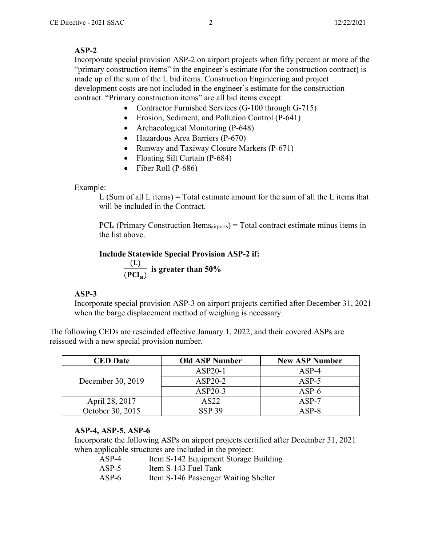#### **ASP-2**

Incorporate special provision ASP-2 on airport projects when fifty percent or more of the "primary construction items" in the engineer's estimate (for the construction contract) is made up of the sum of the L bid items. Construction Engineering and project development costs are not included in the engineer's estimate for the construction contract. "Primary construction items" are all bid items except:

- Contractor Furnished Services (G-100 through G-715)
- Erosion, Sediment, and Pollution Control (P-641)
- Archaeological Monitoring (P-648)
- Hazardous Area Barriers (P-670)
- Runway and Taxiway Closure Markers (P-671)
- Floating Silt Curtain (P-684)
- $\bullet$  Fiber Roll (P-686)

# Example:

L (Sum of all L items) = Total estimate amount for the sum of all the L items that will be included in the Contract.

 $PCI<sub>a</sub>$  (Primary Construction Itemsairports) = Total contract estimate minus items in the list above.

```
Include Statewide Special Provision ASP-2 if: 
(L)(PCI<sub>a</sub>) is greater than 50%
```
# **ASP-3**

Incorporate special provision ASP-3 on airport projects certified after December 31, 2021 when the barge displacement method of weighing is necessary.

The following CEDs are rescinded effective January 1, 2022, and their covered ASPs are reissued with a new special provision number.

| <b>CED</b> Date   | <b>Old ASP Number</b> | <b>New ASP Number</b> |
|-------------------|-----------------------|-----------------------|
| December 30, 2019 | $ASP20-1$             | $ASP-4$               |
|                   | $ASP20-2$             | $ASP-5$               |
|                   | $ASP20-3$             | $ASP-6$               |
| April 28, 2017    | AS22                  | $ASP-7$               |
| October 30, 2015  | <b>SSP 39</b>         | $ASP-8$               |

# **ASP-4, ASP-5, ASP-6**

Incorporate the following ASPs on airport projects certified after December 31, 2021 when applicable structures are included in the project:

- ASP-4 Item S-142 Equipment Storage Building
- ASP-5 Item S-143 Fuel Tank
- ASP-6 Item S-146 Passenger Waiting Shelter